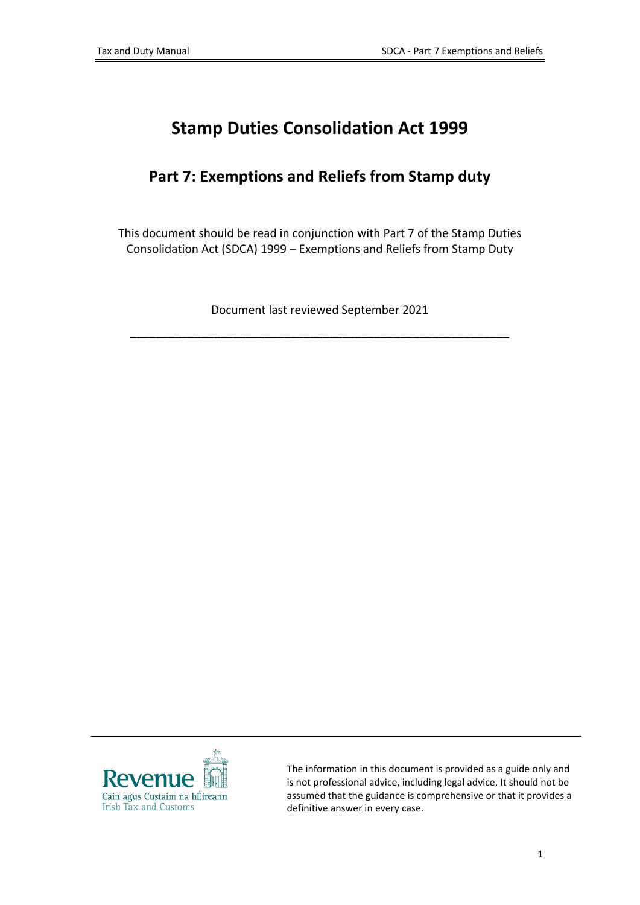# **Stamp Duties Consolidation Act 1999**

#### **Part 7: Exemptions and Reliefs from Stamp duty**

This document should be read in conjunction with Part 7 of the Stamp Duties Consolidation Act (SDCA) 1999 – Exemptions and Reliefs from Stamp Duty

Document last reviewed September 2021

**\_\_\_\_\_\_\_\_\_\_\_\_\_\_\_\_\_\_\_\_\_\_\_\_\_\_\_\_\_\_\_\_\_\_\_\_\_\_\_\_\_\_\_\_\_\_\_\_\_\_\_\_\_\_\_\_\_\_\_**



The information in this document is provided as a guide only and is not professional advice, including legal advice. It should not be assumed that the guidance is comprehensive or that it provides a definitive answer in every case.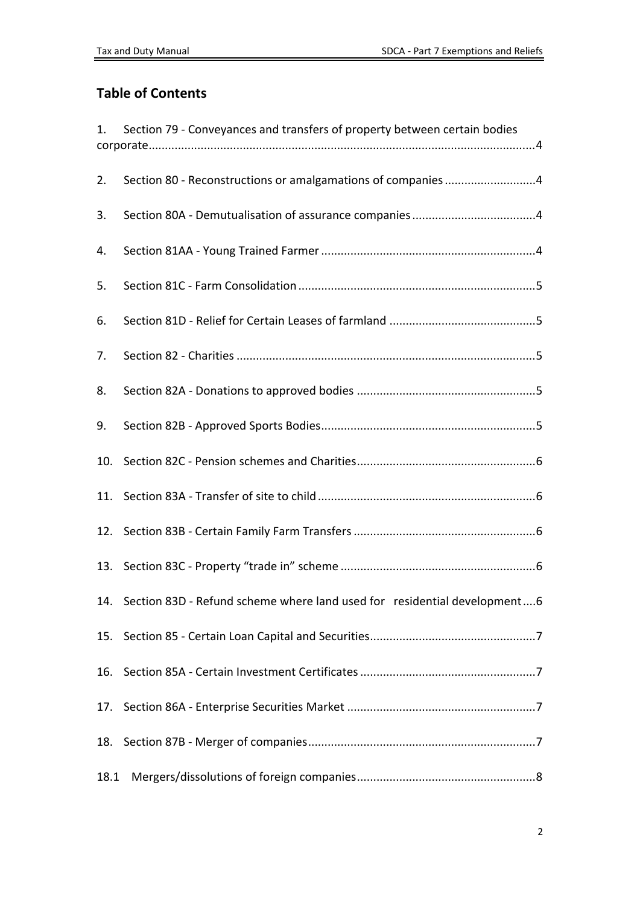#### **Table of Contents**

| 1.   | Section 79 - Conveyances and transfers of property between certain bodies    |  |
|------|------------------------------------------------------------------------------|--|
|      |                                                                              |  |
| 2.   | Section 80 - Reconstructions or amalgamations of companies4                  |  |
| 3.   |                                                                              |  |
| 4.   |                                                                              |  |
| 5.   |                                                                              |  |
| 6.   |                                                                              |  |
| 7.   |                                                                              |  |
| 8.   |                                                                              |  |
| 9.   |                                                                              |  |
| 10.  |                                                                              |  |
|      |                                                                              |  |
|      |                                                                              |  |
|      |                                                                              |  |
|      | 14. Section 83D - Refund scheme where land used for residential development6 |  |
| 15.  |                                                                              |  |
| 16.  |                                                                              |  |
| 17.  |                                                                              |  |
|      |                                                                              |  |
| 18.1 |                                                                              |  |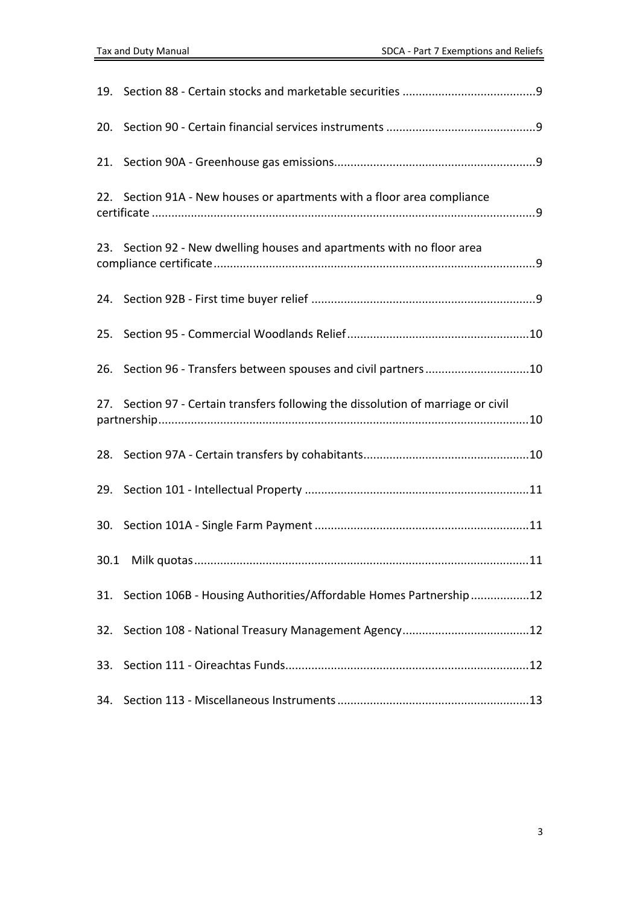| 20.                                                                               |                                                                        |  |
|-----------------------------------------------------------------------------------|------------------------------------------------------------------------|--|
|                                                                                   |                                                                        |  |
| 22.                                                                               | Section 91A - New houses or apartments with a floor area compliance    |  |
|                                                                                   | 23. Section 92 - New dwelling houses and apartments with no floor area |  |
|                                                                                   |                                                                        |  |
| 25.                                                                               |                                                                        |  |
| 26.                                                                               | Section 96 - Transfers between spouses and civil partners10            |  |
| 27. Section 97 - Certain transfers following the dissolution of marriage or civil |                                                                        |  |
|                                                                                   |                                                                        |  |
|                                                                                   |                                                                        |  |
|                                                                                   |                                                                        |  |
|                                                                                   |                                                                        |  |
|                                                                                   | 31. Section 106B - Housing Authorities/Affordable Homes Partnership 12 |  |
| 32.                                                                               |                                                                        |  |
|                                                                                   |                                                                        |  |
| 34.                                                                               |                                                                        |  |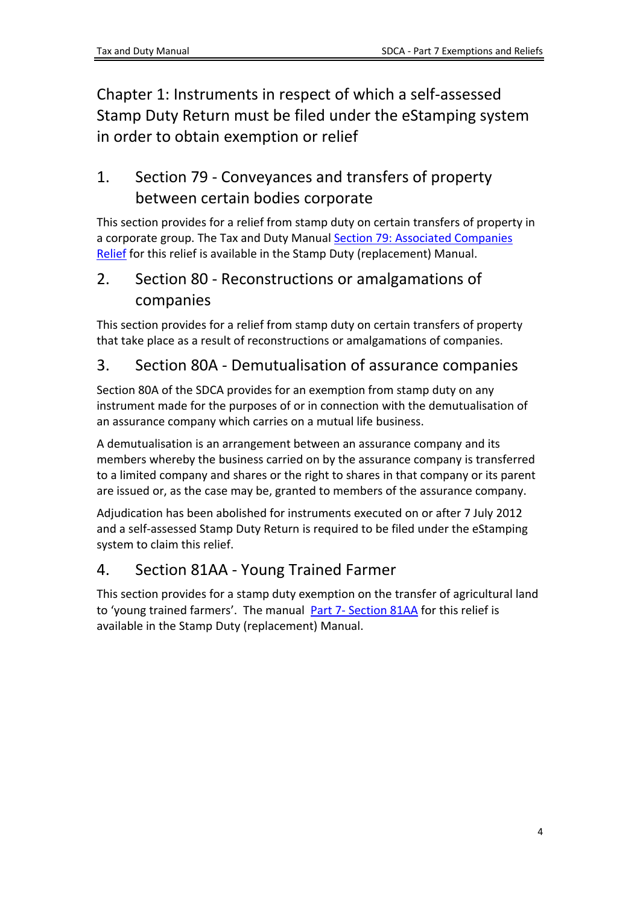Chapter 1: Instruments in respect of which a self-assessed Stamp Duty Return must be filed under the eStamping system in order to obtain exemption or relief

# <span id="page-3-0"></span>1. Section 79 - Conveyances and transfers of property between certain bodies corporate

This section provides for a relief from stamp duty on certain transfers of property in a corporate group. The Tax and Duty Manual [Section](https://www.revenue.ie/en/tax-professionals/tdm/stamp-duty/stamp-duty-manual/part-07-exemptions-and-reliefs-from-stamp-duty/section-79-associated-companies-relief.pdf) [79:](https://www.revenue.ie/en/tax-professionals/tdm/stamp-duty/stamp-duty-manual/part-07-exemptions-and-reliefs-from-stamp-duty/section-79-associated-companies-relief.pdf) [Associated](https://www.revenue.ie/en/tax-professionals/tdm/stamp-duty/stamp-duty-manual/part-07-exemptions-and-reliefs-from-stamp-duty/section-79-associated-companies-relief.pdf) [Companies](https://www.revenue.ie/en/tax-professionals/tdm/stamp-duty/stamp-duty-manual/part-07-exemptions-and-reliefs-from-stamp-duty/section-79-associated-companies-relief.pdf) [Relief](https://www.revenue.ie/en/tax-professionals/tdm/stamp-duty/stamp-duty-manual/part-07-exemptions-and-reliefs-from-stamp-duty/section-79-associated-companies-relief.pdf) for this relief is available in the Stamp Duty (replacement) Manual.

### <span id="page-3-1"></span>2. Section 80 - Reconstructions or amalgamations of companies

This section provides for a relief from stamp duty on certain transfers of property that take place as a result of reconstructions or amalgamations of companies.

#### <span id="page-3-2"></span>3. Section 80A - Demutualisation of assurance companies

Section 80A of the SDCA provides for an exemption from stamp duty on any instrument made for the purposes of or in connection with the demutualisation of an assurance company which carries on a mutual life business.

A demutualisation is an arrangement between an assurance company and its members whereby the business carried on by the assurance company is transferred to a limited company and shares or the right to shares in that company or its parent are issued or, as the case may be, granted to members of the assurance company.

Adjudication has been abolished for instruments executed on or after 7 July 2012 and a self-assessed Stamp Duty Return is required to be filed under the eStamping system to claim this relief.

## <span id="page-3-3"></span>4. Section 81AA - Young Trained Farmer

This section provides for a stamp duty exemption on the transfer of agricultural land to 'young trained farmers'. The manual [Part](https://www.revenue.ie/en/tax-professionals/tdm/stamp-duty/stamp-duty-manual/part-07-exemptions-and-reliefs-from-stamp-duty/section-81aa-transfers-of-land-to-young-trained-farmers.pdf) [7-](https://www.revenue.ie/en/tax-professionals/tdm/stamp-duty/stamp-duty-manual/part-07-exemptions-and-reliefs-from-stamp-duty/section-81aa-transfers-of-land-to-young-trained-farmers.pdf) [Section](https://www.revenue.ie/en/tax-professionals/tdm/stamp-duty/stamp-duty-manual/part-07-exemptions-and-reliefs-from-stamp-duty/section-81aa-transfers-of-land-to-young-trained-farmers.pdf) [81AA](https://www.revenue.ie/en/tax-professionals/tdm/stamp-duty/stamp-duty-manual/part-07-exemptions-and-reliefs-from-stamp-duty/section-81aa-transfers-of-land-to-young-trained-farmers.pdf) for this relief is available in the Stamp Duty (replacement) Manual.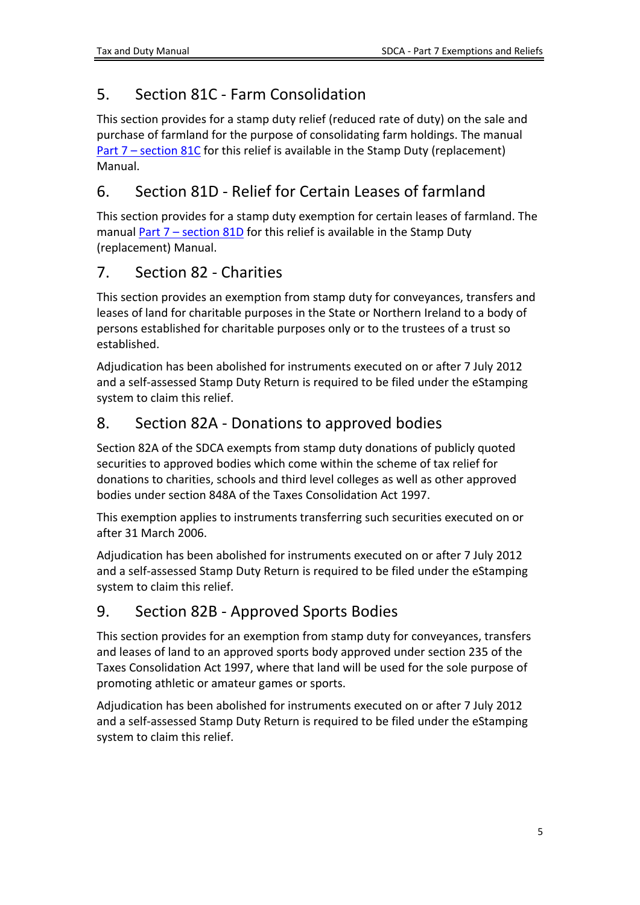# <span id="page-4-0"></span>5. Section 81C - Farm Consolidation

This section provides for a stamp duty relief (reduced rate of duty) on the sale and purchase of farmland for the purpose of consolidating farm holdings. The manual [Part](https://www.revenue.ie/en/tax-professionals/tdm/stamp-duty/stamp-duty-manual/part-07-exemptions-and-reliefs-from-stamp-duty/section-81c-farm-consolidation-relief.pdf) [7](https://www.revenue.ie/en/tax-professionals/tdm/stamp-duty/stamp-duty-manual/part-07-exemptions-and-reliefs-from-stamp-duty/section-81c-farm-consolidation-relief.pdf) [–](https://www.revenue.ie/en/tax-professionals/tdm/stamp-duty/stamp-duty-manual/part-07-exemptions-and-reliefs-from-stamp-duty/section-81c-farm-consolidation-relief.pdf) [section](https://www.revenue.ie/en/tax-professionals/tdm/stamp-duty/stamp-duty-manual/part-07-exemptions-and-reliefs-from-stamp-duty/section-81c-farm-consolidation-relief.pdf) [81C](https://www.revenue.ie/en/tax-professionals/tdm/stamp-duty/stamp-duty-manual/part-07-exemptions-and-reliefs-from-stamp-duty/section-81c-farm-consolidation-relief.pdf) for this relief is available in the Stamp Duty (replacement) Manual.

## <span id="page-4-1"></span>6. Section 81D - Relief for Certain Leases of farmland

This section provides for a stamp duty exemption for certain leases of farmland. The manual [Part](https://www.revenue.ie/en/tax-professionals/tdm/stamp-duty/stamp-duty-manual/part-07-exemptions-and-reliefs-from-stamp-duty/section-81d-leases-of-farmland.pdf)  $7$  [–](https://www.revenue.ie/en/tax-professionals/tdm/stamp-duty/stamp-duty-manual/part-07-exemptions-and-reliefs-from-stamp-duty/section-81d-leases-of-farmland.pdf) [section](https://www.revenue.ie/en/tax-professionals/tdm/stamp-duty/stamp-duty-manual/part-07-exemptions-and-reliefs-from-stamp-duty/section-81d-leases-of-farmland.pdf) [81D](https://www.revenue.ie/en/tax-professionals/tdm/stamp-duty/stamp-duty-manual/part-07-exemptions-and-reliefs-from-stamp-duty/section-81d-leases-of-farmland.pdf) for this relief is available in the Stamp Duty (replacement) Manual.

### <span id="page-4-2"></span>7. Section 82 - Charities

This section provides an exemption from stamp duty for conveyances, transfers and leases of land for charitable purposes in the State or Northern Ireland to a body of persons established for charitable purposes only or to the trustees of a trust so established.

Adjudication has been abolished for instruments executed on or after 7 July 2012 and a self-assessed Stamp Duty Return is required to be filed under the eStamping system to claim this relief.

# <span id="page-4-3"></span>8. Section 82A - Donations to approved bodies

Section 82A of the SDCA exempts from stamp duty donations of publicly quoted securities to approved bodies which come within the scheme of tax relief for donations to charities, schools and third level colleges as well as other approved bodies under section 848A of the Taxes Consolidation Act 1997.

This exemption applies to instruments transferring such securities executed on or after 31 March 2006.

Adjudication has been abolished for instruments executed on or after 7 July 2012 and a self-assessed Stamp Duty Return is required to be filed under the eStamping system to claim this relief.

## <span id="page-4-4"></span>9. Section 82B - Approved Sports Bodies

This section provides for an exemption from stamp duty for conveyances, transfers and leases of land to an approved sports body approved under section 235 of the Taxes Consolidation Act 1997, where that land will be used for the sole purpose of promoting athletic or amateur games or sports.

Adjudication has been abolished for instruments executed on or after 7 July 2012 and a self-assessed Stamp Duty Return is required to be filed under the eStamping system to claim this relief.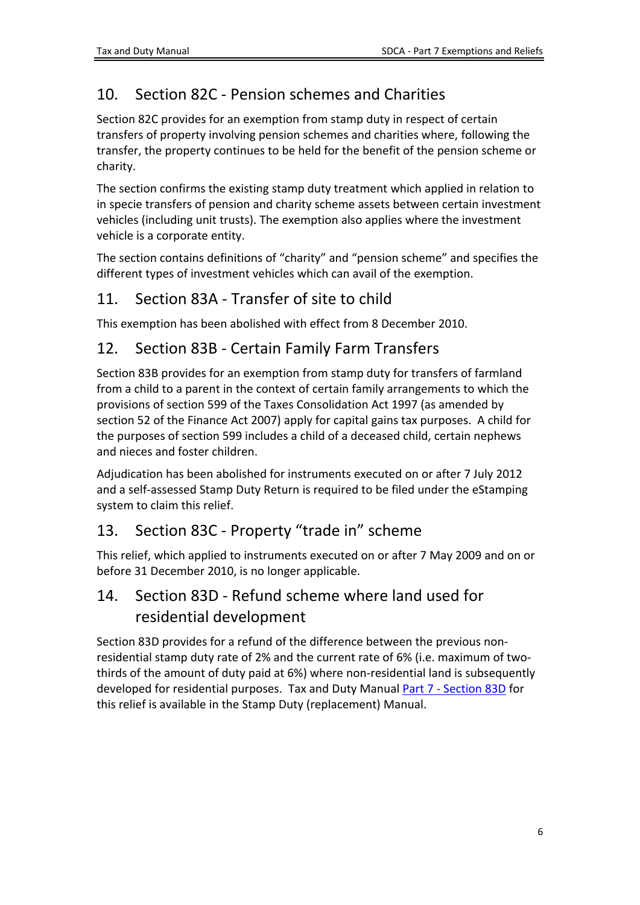# <span id="page-5-0"></span>10. Section 82C - Pension schemes and Charities

Section 82C provides for an exemption from stamp duty in respect of certain transfers of property involving pension schemes and charities where, following the transfer, the property continues to be held for the benefit of the pension scheme or charity.

The section confirms the existing stamp duty treatment which applied in relation to in specie transfers of pension and charity scheme assets between certain investment vehicles (including unit trusts). The exemption also applies where the investment vehicle is a corporate entity.

The section contains definitions of "charity" and "pension scheme" and specifies the different types of investment vehicles which can avail of the exemption.

### <span id="page-5-1"></span>11. Section 83A - Transfer of site to child

This exemption has been abolished with effect from 8 December 2010.

### <span id="page-5-2"></span>12. Section 83B - Certain Family Farm Transfers

Section 83B provides for an exemption from stamp duty for transfers of farmland from a child to a parent in the context of certain family arrangements to which the provisions of section 599 of the Taxes Consolidation Act 1997 (as amended by section 52 of the Finance Act 2007) apply for capital gains tax purposes. A child for the purposes of section 599 includes a child of a deceased child, certain nephews and nieces and foster children.

Adjudication has been abolished for instruments executed on or after 7 July 2012 and a self-assessed Stamp Duty Return is required to be filed under the eStamping system to claim this relief.

#### <span id="page-5-3"></span>13. Section 83C - Property "trade in" scheme

This relief, which applied to instruments executed on or after 7 May 2009 and on or before 31 December 2010, is no longer applicable.

### <span id="page-5-4"></span>14. Section 83D - Refund scheme where land used for residential development

Section 83D provides for a refund of the difference between the previous nonresidential stamp duty rate of 2% and the current rate of 6% (i.e. maximum of twothirds of the amount of duty paid at 6%) where non-residential land is subsequently developed for residential purposes. Tax and Duty Manual [Part](https://www.revenue.ie/en/tax-professionals/tdm/stamp-duty/stamp-duty-manual/part-07-exemptions-and-reliefs-from-stamp-duty/section-83d-residential-development-refund-scheme.pdf) [7](https://www.revenue.ie/en/tax-professionals/tdm/stamp-duty/stamp-duty-manual/part-07-exemptions-and-reliefs-from-stamp-duty/section-83d-residential-development-refund-scheme.pdf) [-](https://www.revenue.ie/en/tax-professionals/tdm/stamp-duty/stamp-duty-manual/part-07-exemptions-and-reliefs-from-stamp-duty/section-83d-residential-development-refund-scheme.pdf) [Section](https://www.revenue.ie/en/tax-professionals/tdm/stamp-duty/stamp-duty-manual/part-07-exemptions-and-reliefs-from-stamp-duty/section-83d-residential-development-refund-scheme.pdf) [83D](https://www.revenue.ie/en/tax-professionals/tdm/stamp-duty/stamp-duty-manual/part-07-exemptions-and-reliefs-from-stamp-duty/section-83d-residential-development-refund-scheme.pdf) for this relief is available in the Stamp Duty (replacement) Manual.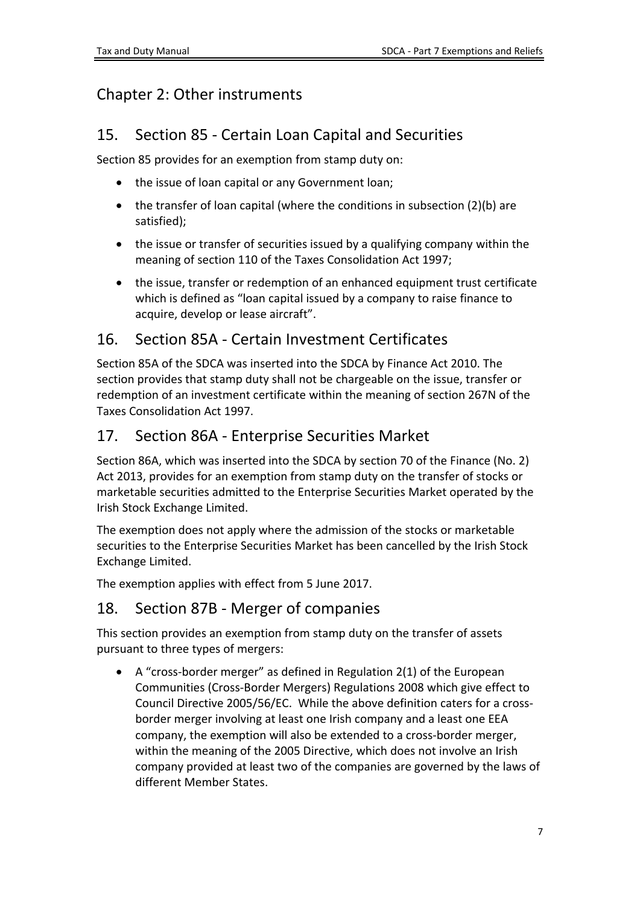# Chapter 2: Other instruments

### <span id="page-6-0"></span>15. Section 85 - Certain Loan Capital and Securities

Section 85 provides for an exemption from stamp duty on:

- the issue of loan capital or any Government loan;
- the transfer of loan capital (where the conditions in subsection (2)(b) are satisfied);
- the issue or transfer of securities issued by a qualifying company within the meaning of section 110 of the Taxes Consolidation Act 1997;
- the issue, transfer or redemption of an enhanced equipment trust certificate which is defined as "loan capital issued by a company to raise finance to acquire, develop or lease aircraft".

### <span id="page-6-1"></span>16. Section 85A - Certain Investment Certificates

Section 85A of the SDCA was inserted into the SDCA by Finance Act 2010. The section provides that stamp duty shall not be chargeable on the issue, transfer or redemption of an investment certificate within the meaning of section 267N of the Taxes Consolidation Act 1997.

### <span id="page-6-2"></span>17. Section 86A - Enterprise Securities Market

Section 86A, which was inserted into the SDCA by section 70 of the Finance (No. 2) Act 2013, provides for an exemption from stamp duty on the transfer of stocks or marketable securities admitted to the Enterprise Securities Market operated by the Irish Stock Exchange Limited.

The exemption does not apply where the admission of the stocks or marketable securities to the Enterprise Securities Market has been cancelled by the Irish Stock Exchange Limited.

The exemption applies with effect from 5 June 2017.

## <span id="page-6-3"></span>18. Section 87B - Merger of companies

This section provides an exemption from stamp duty on the transfer of assets pursuant to three types of mergers:

 A "cross-border merger" as defined in Regulation 2(1) of the European Communities (Cross-Border Mergers) Regulations 2008 which give effect to Council Directive 2005/56/EC. While the above definition caters for a crossborder merger involving at least one Irish company and a least one EEA company, the exemption will also be extended to a cross-border merger, within the meaning of the 2005 Directive, which does not involve an Irish company provided at least two of the companies are governed by the laws of different Member States.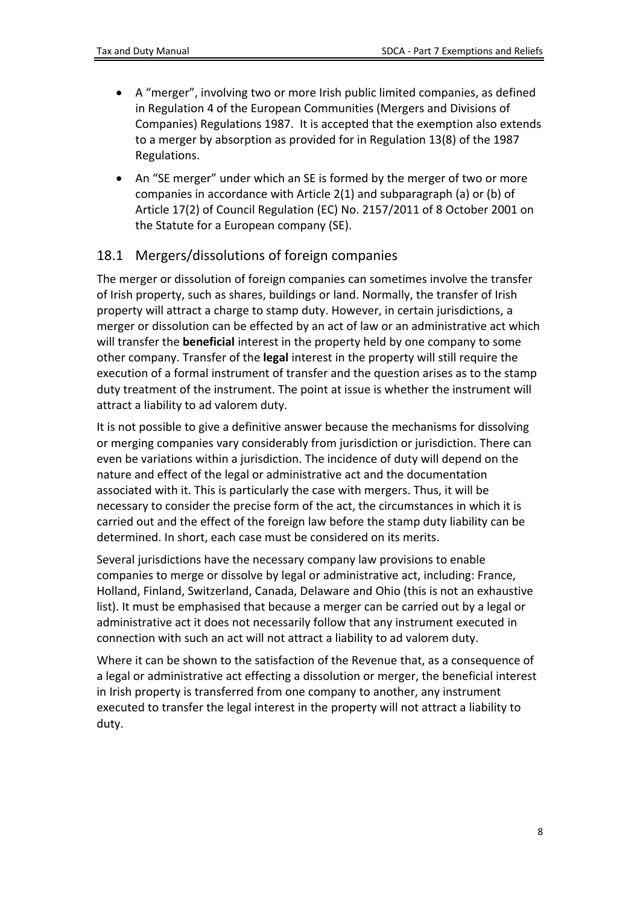- A "merger", involving two or more Irish public limited companies, as defined in Regulation 4 of the European Communities (Mergers and Divisions of Companies) Regulations 1987. It is accepted that the exemption also extends to a merger by absorption as provided for in Regulation 13(8) of the 1987 Regulations.
- An "SE merger" under which an SE is formed by the merger of two or more companies in accordance with Article 2(1) and subparagraph (a) or (b) of Article 17(2) of Council Regulation (EC) No. 2157/2011 of 8 October 2001 on the Statute for a European company (SE).

#### <span id="page-7-0"></span>18.1 Mergers/dissolutions of foreign companies

The merger or dissolution of foreign companies can sometimes involve the transfer of Irish property, such as shares, buildings or land. Normally, the transfer of Irish property will attract a charge to stamp duty. However, in certain jurisdictions, a merger or dissolution can be effected by an act of law or an administrative act which will transfer the **beneficial** interest in the property held by one company to some other company. Transfer of the **legal** interest in the property will still require the execution of a formal instrument of transfer and the question arises as to the stamp duty treatment of the instrument. The point at issue is whether the instrument will attract a liability to ad valorem duty.

It is not possible to give a definitive answer because the mechanisms for dissolving or merging companies vary considerably from jurisdiction or jurisdiction. There can even be variations within a jurisdiction. The incidence of duty will depend on the nature and effect of the legal or administrative act and the documentation associated with it. This is particularly the case with mergers. Thus, it will be necessary to consider the precise form of the act, the circumstances in which it is carried out and the effect of the foreign law before the stamp duty liability can be determined. In short, each case must be considered on its merits.

Several jurisdictions have the necessary company law provisions to enable companies to merge or dissolve by legal or administrative act, including: France, Holland, Finland, Switzerland, Canada, Delaware and Ohio (this is not an exhaustive list). It must be emphasised that because a merger can be carried out by a legal or administrative act it does not necessarily follow that any instrument executed in connection with such an act will not attract a liability to ad valorem duty.

Where it can be shown to the satisfaction of the Revenue that, as a consequence of a legal or administrative act effecting a dissolution or merger, the beneficial interest in Irish property is transferred from one company to another, any instrument executed to transfer the legal interest in the property will not attract a liability to duty.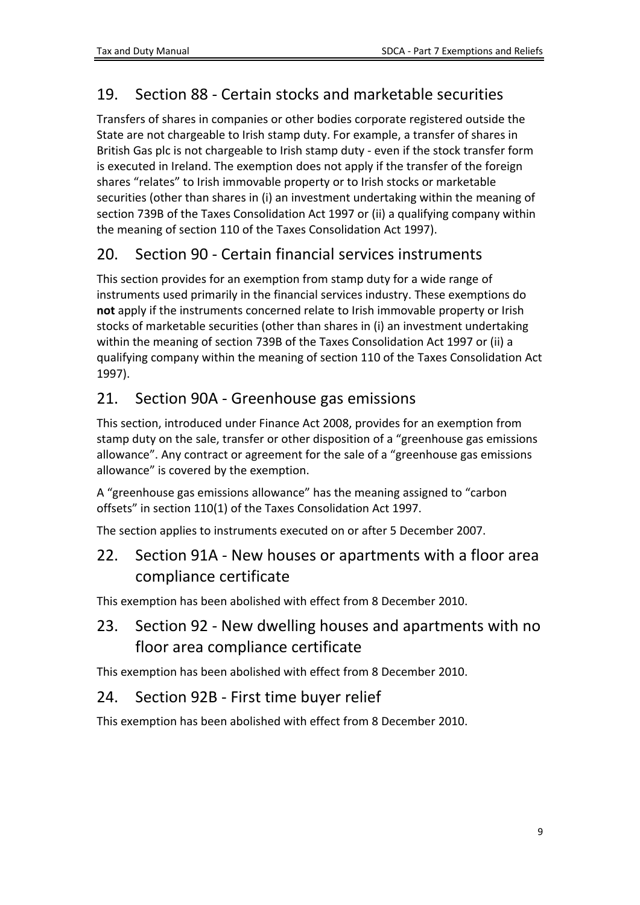# <span id="page-8-0"></span>19. Section 88 - Certain stocks and marketable securities

Transfers of shares in companies or other bodies corporate registered outside the State are not chargeable to Irish stamp duty. For example, a transfer of shares in British Gas plc is not chargeable to Irish stamp duty - even if the stock transfer form is executed in Ireland. The exemption does not apply if the transfer of the foreign shares "relates" to Irish immovable property or to Irish stocks or marketable securities (other than shares in (i) an investment undertaking within the meaning of section 739B of the Taxes Consolidation Act 1997 or (ii) a qualifying company within the meaning of section 110 of the Taxes Consolidation Act 1997).

## <span id="page-8-1"></span>20. Section 90 - Certain financial services instruments

This section provides for an exemption from stamp duty for a wide range of instruments used primarily in the financial services industry. These exemptions do **not** apply if the instruments concerned relate to Irish immovable property or Irish stocks of marketable securities (other than shares in (i) an investment undertaking within the meaning of section 739B of the Taxes Consolidation Act 1997 or (ii) a qualifying company within the meaning of section 110 of the Taxes Consolidation Act 1997).

#### <span id="page-8-2"></span>21. Section 90A - Greenhouse gas emissions

This section, introduced under Finance Act 2008, provides for an exemption from stamp duty on the sale, transfer or other disposition of a "greenhouse gas emissions allowance". Any contract or agreement for the sale of a "greenhouse gas emissions allowance" is covered by the exemption.

A "greenhouse gas emissions allowance" has the meaning assigned to "carbon offsets" in section 110(1) of the Taxes Consolidation Act 1997.

The section applies to instruments executed on or after 5 December 2007.

#### <span id="page-8-3"></span>22. Section 91A - New houses or apartments with a floor area compliance certificate

This exemption has been abolished with effect from 8 December 2010.

### <span id="page-8-4"></span>23. Section 92 - New dwelling houses and apartments with no floor area compliance certificate

This exemption has been abolished with effect from 8 December 2010.

#### <span id="page-8-5"></span>24. Section 92B - First time buyer relief

This exemption has been abolished with effect from 8 December 2010.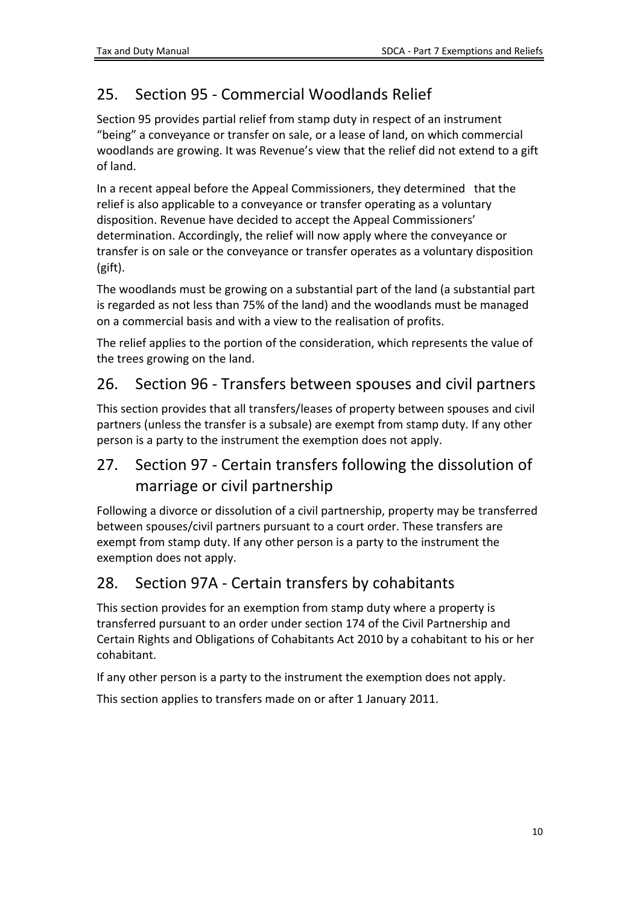# <span id="page-9-0"></span>25. Section 95 - Commercial Woodlands Relief

Section 95 provides partial relief from stamp duty in respect of an instrument "being" a conveyance or transfer on sale, or a lease of land, on which commercial woodlands are growing. It was Revenue's view that the relief did not extend to a gift of land.

In a recent appeal before the Appeal Commissioners, they determined that the relief is also applicable to a conveyance or transfer operating as a voluntary disposition. Revenue have decided to accept the Appeal Commissioners' determination. Accordingly, the relief will now apply where the conveyance or transfer is on sale or the conveyance or transfer operates as a voluntary disposition (gift).

The woodlands must be growing on a substantial part of the land (a substantial part is regarded as not less than 75% of the land) and the woodlands must be managed on a commercial basis and with a view to the realisation of profits.

The relief applies to the portion of the consideration, which represents the value of the trees growing on the land.

#### <span id="page-9-1"></span>26. Section 96 - Transfers between spouses and civil partners

This section provides that all transfers/leases of property between spouses and civil partners (unless the transfer is a subsale) are exempt from stamp duty. If any other person is a party to the instrument the exemption does not apply.

## <span id="page-9-2"></span>27. Section 97 - Certain transfers following the dissolution of marriage or civil partnership

Following a divorce or dissolution of a civil partnership, property may be transferred between spouses/civil partners pursuant to a court order. These transfers are exempt from stamp duty. If any other person is a party to the instrument the exemption does not apply.

#### <span id="page-9-3"></span>28. Section 97A - Certain transfers by cohabitants

This section provides for an exemption from stamp duty where a property is transferred pursuant to an order under section 174 of the Civil Partnership and Certain Rights and Obligations of Cohabitants Act 2010 by a cohabitant to his or her cohabitant.

If any other person is a party to the instrument the exemption does not apply.

This section applies to transfers made on or after 1 January 2011.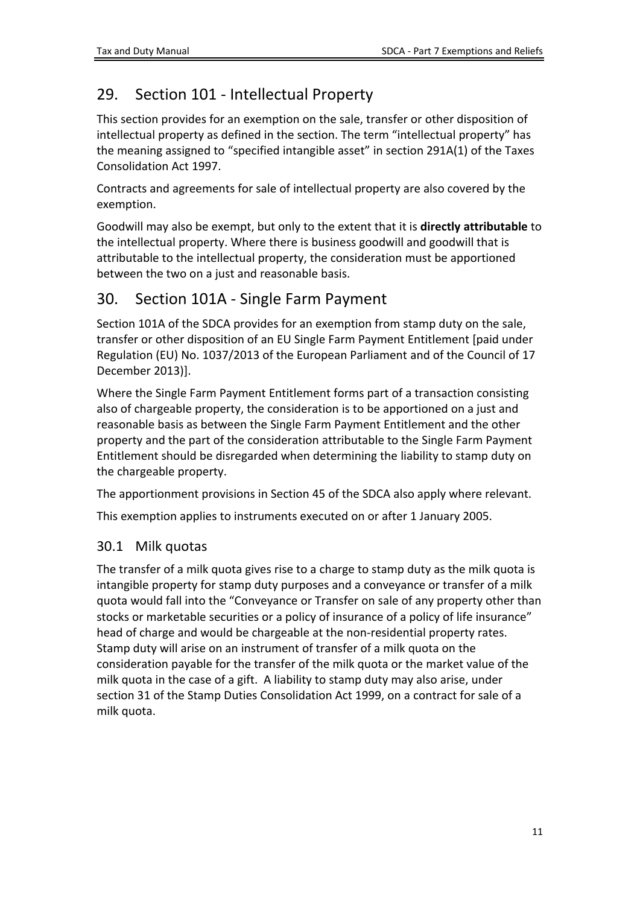## <span id="page-10-0"></span>29. Section 101 - Intellectual Property

This section provides for an exemption on the sale, transfer or other disposition of intellectual property as defined in the section. The term "intellectual property" has the meaning assigned to "specified intangible asset" in section 291A(1) of the Taxes Consolidation Act 1997.

Contracts and agreements for sale of intellectual property are also covered by the exemption.

Goodwill may also be exempt, but only to the extent that it is **directly attributable** to the intellectual property. Where there is business goodwill and goodwill that is attributable to the intellectual property, the consideration must be apportioned between the two on a just and reasonable basis.

#### <span id="page-10-1"></span>30. Section 101A - Single Farm Payment

Section 101A of the SDCA provides for an exemption from stamp duty on the sale, transfer or other disposition of an EU Single Farm Payment Entitlement [paid under Regulation (EU) No. 1037/2013 of the European Parliament and of the Council of 17 December 2013)].

Where the Single Farm Payment Entitlement forms part of a transaction consisting also of chargeable property, the consideration is to be apportioned on a just and reasonable basis as between the Single Farm Payment Entitlement and the other property and the part of the consideration attributable to the Single Farm Payment Entitlement should be disregarded when determining the liability to stamp duty on the chargeable property.

The apportionment provisions in Section 45 of the SDCA also apply where relevant.

This exemption applies to instruments executed on or after 1 January 2005.

#### <span id="page-10-2"></span>30.1 Milk quotas

The transfer of a milk quota gives rise to a charge to stamp duty as the milk quota is intangible property for stamp duty purposes and a conveyance or transfer of a milk quota would fall into the "Conveyance or Transfer on sale of any property other than stocks or marketable securities or a policy of insurance of a policy of life insurance" head of charge and would be chargeable at the non-residential property rates. Stamp duty will arise on an instrument of transfer of a milk quota on the consideration payable for the transfer of the milk quota or the market value of the milk quota in the case of a gift. A liability to stamp duty may also arise, under section 31 of the Stamp Duties Consolidation Act 1999, on a contract for sale of a milk quota.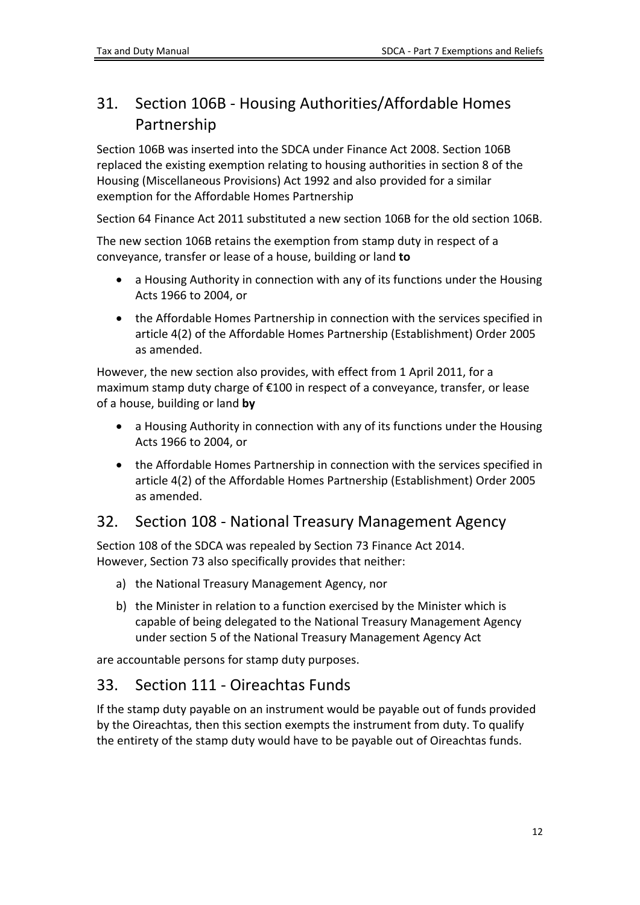## <span id="page-11-0"></span>31. Section 106B - Housing Authorities/Affordable Homes Partnership

Section 106B was inserted into the SDCA under Finance Act 2008. Section 106B replaced the existing exemption relating to housing authorities in section 8 of the Housing (Miscellaneous Provisions) Act 1992 and also provided for a similar exemption for the Affordable Homes Partnership

Section 64 Finance Act 2011 substituted a new section 106B for the old section 106B.

The new section 106B retains the exemption from stamp duty in respect of a conveyance, transfer or lease of a house, building or land **to**

- a Housing Authority in connection with any of its functions under the Housing Acts 1966 to 2004, or
- the Affordable Homes Partnership in connection with the services specified in article 4(2) of the Affordable Homes Partnership (Establishment) Order 2005 as amended.

However, the new section also provides, with effect from 1 April 2011, for a maximum stamp duty charge of €100 in respect of a conveyance, transfer, or lease of a house, building or land **by**

- a Housing Authority in connection with any of its functions under the Housing Acts 1966 to 2004, or
- the Affordable Homes Partnership in connection with the services specified in article 4(2) of the Affordable Homes Partnership (Establishment) Order 2005 as amended.

#### <span id="page-11-1"></span>32. Section 108 - National Treasury Management Agency

Section 108 of the SDCA was repealed by Section 73 Finance Act 2014. However, Section 73 also specifically provides that neither:

- a) the National Treasury Management Agency, nor
- b) the Minister in relation to a function exercised by the Minister which is capable of being delegated to the National Treasury Management Agency under section 5 of the National Treasury Management Agency Act

are accountable persons for stamp duty purposes.

#### <span id="page-11-2"></span>33. Section 111 - Oireachtas Funds

If the stamp duty payable on an instrument would be payable out of funds provided by the Oireachtas, then this section exempts the instrument from duty. To qualify the entirety of the stamp duty would have to be payable out of Oireachtas funds.